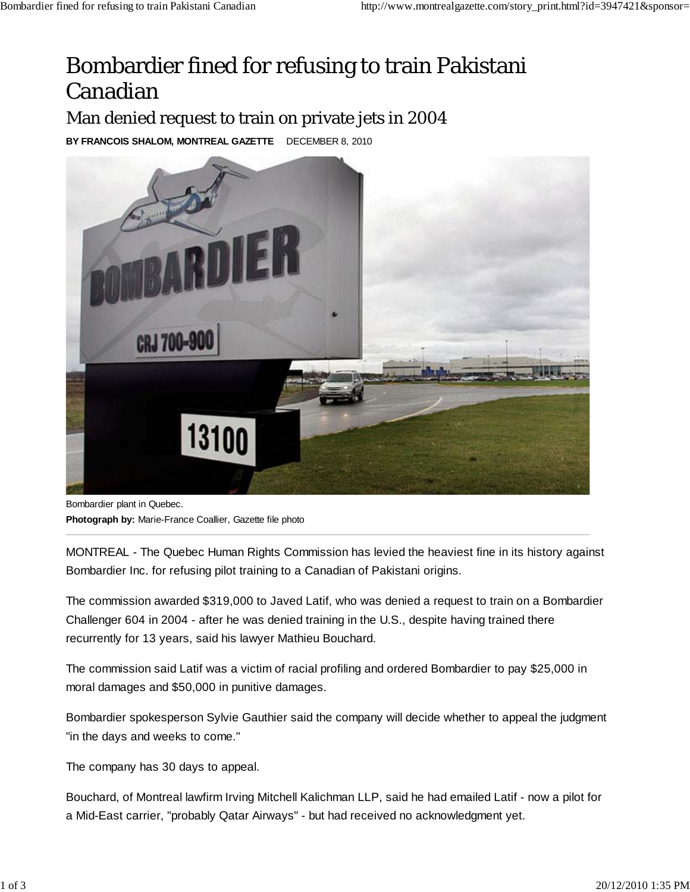## Bombardier fined for refusing to train Pakistani Canadian

Man denied request to train on private jets in 2004

**BY FRANCOIS SHALOM, MONTREAL GAZETTE** DECEMBER 8, 2010



Bombardier plant in Quebec.

**Photograph by:** Marie-France Coallier, Gazette file photo

MONTREAL - The Quebec Human Rights Commission has levied the heaviest fine in its history against Bombardier Inc. for refusing pilot training to a Canadian of Pakistani origins.

The commission awarded \$319,000 to Javed Latif, who was denied a request to train on a Bombardier Challenger 604 in 2004 - after he was denied training in the U.S., despite having trained there recurrently for 13 years, said his lawyer Mathieu Bouchard.

The commission said Latif was a victim of racial profiling and ordered Bombardier to pay \$25,000 in moral damages and \$50,000 in punitive damages.

Bombardier spokesperson Sylvie Gauthier said the company will decide whether to appeal the judgment "in the days and weeks to come."

The company has 30 days to appeal.

Bouchard, of Montreal lawfirm Irving Mitchell Kalichman LLP, said he had emailed Latif - now a pilot for a Mid-East carrier, "probably Qatar Airways" - but had received no acknowledgment yet.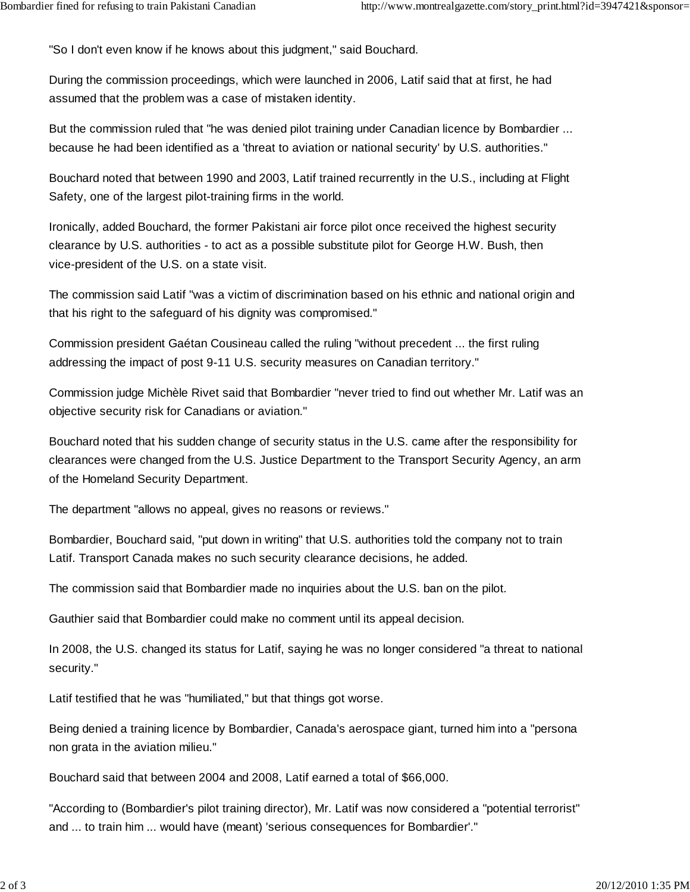"So I don't even know if he knows about this judgment," said Bouchard.

During the commission proceedings, which were launched in 2006, Latif said that at first, he had assumed that the problem was a case of mistaken identity.

But the commission ruled that "he was denied pilot training under Canadian licence by Bombardier ... because he had been identified as a 'threat to aviation or national security' by U.S. authorities."

Bouchard noted that between 1990 and 2003, Latif trained recurrently in the U.S., including at Flight Safety, one of the largest pilot-training firms in the world.

Ironically, added Bouchard, the former Pakistani air force pilot once received the highest security clearance by U.S. authorities - to act as a possible substitute pilot for George H.W. Bush, then vice-president of the U.S. on a state visit.

The commission said Latif "was a victim of discrimination based on his ethnic and national origin and that his right to the safeguard of his dignity was compromised."

Commission president Gaétan Cousineau called the ruling "without precedent ... the first ruling addressing the impact of post 9-11 U.S. security measures on Canadian territory."

Commission judge Michèle Rivet said that Bombardier "never tried to find out whether Mr. Latif was an objective security risk for Canadians or aviation."

Bouchard noted that his sudden change of security status in the U.S. came after the responsibility for clearances were changed from the U.S. Justice Department to the Transport Security Agency, an arm of the Homeland Security Department.

The department "allows no appeal, gives no reasons or reviews."

Bombardier, Bouchard said, "put down in writing" that U.S. authorities told the company not to train Latif. Transport Canada makes no such security clearance decisions, he added.

The commission said that Bombardier made no inquiries about the U.S. ban on the pilot.

Gauthier said that Bombardier could make no comment until its appeal decision.

In 2008, the U.S. changed its status for Latif, saying he was no longer considered "a threat to national security."

Latif testified that he was "humiliated," but that things got worse.

Being denied a training licence by Bombardier, Canada's aerospace giant, turned him into a "persona non grata in the aviation milieu."

Bouchard said that between 2004 and 2008, Latif earned a total of \$66,000.

"According to (Bombardier's pilot training director), Mr. Latif was now considered a "potential terrorist" and ... to train him ... would have (meant) 'serious consequences for Bombardier'."